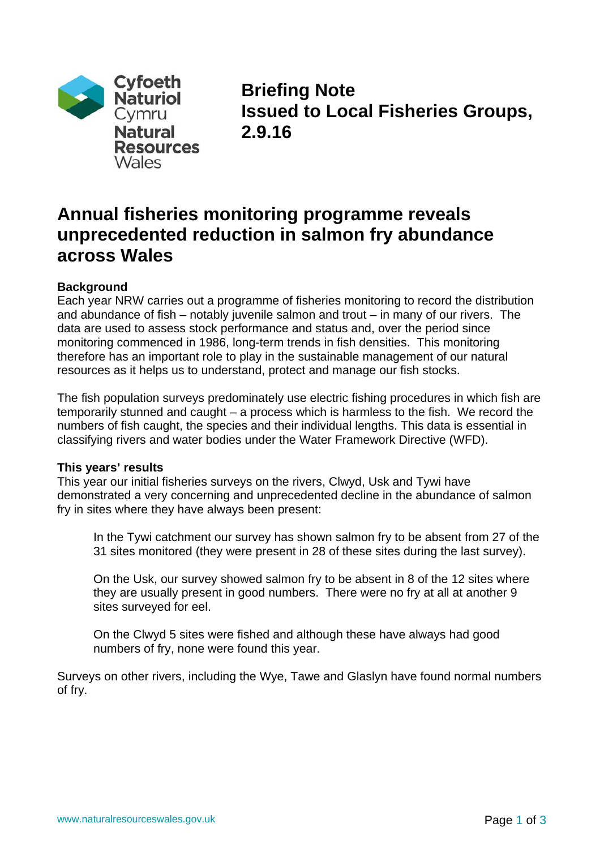

**Briefing Note Issued to Local Fisheries Groups, 2.9.16** 

# **Annual fisheries monitoring programme reveals unprecedented reduction in salmon fry abundance across Wales**

# **Background**

Each year NRW carries out a programme of fisheries monitoring to record the distribution and abundance of fish – notably juvenile salmon and trout – in many of our rivers. The data are used to assess stock performance and status and, over the period since monitoring commenced in 1986, long-term trends in fish densities. This monitoring therefore has an important role to play in the sustainable management of our natural resources as it helps us to understand, protect and manage our fish stocks.

The fish population surveys predominately use electric fishing procedures in which fish are temporarily stunned and caught – a process which is harmless to the fish. We record the numbers of fish caught, the species and their individual lengths. This data is essential in classifying rivers and water bodies under the Water Framework Directive (WFD).

#### **This years' results**

This year our initial fisheries surveys on the rivers, Clwyd, Usk and Tywi have demonstrated a very concerning and unprecedented decline in the abundance of salmon fry in sites where they have always been present:

In the Tywi catchment our survey has shown salmon fry to be absent from 27 of the 31 sites monitored (they were present in 28 of these sites during the last survey).

On the Usk, our survey showed salmon fry to be absent in 8 of the 12 sites where they are usually present in good numbers. There were no fry at all at another 9 sites surveyed for eel.

On the Clwyd 5 sites were fished and although these have always had good numbers of fry, none were found this year.

Surveys on other rivers, including the Wye, Tawe and Glaslyn have found normal numbers of fry.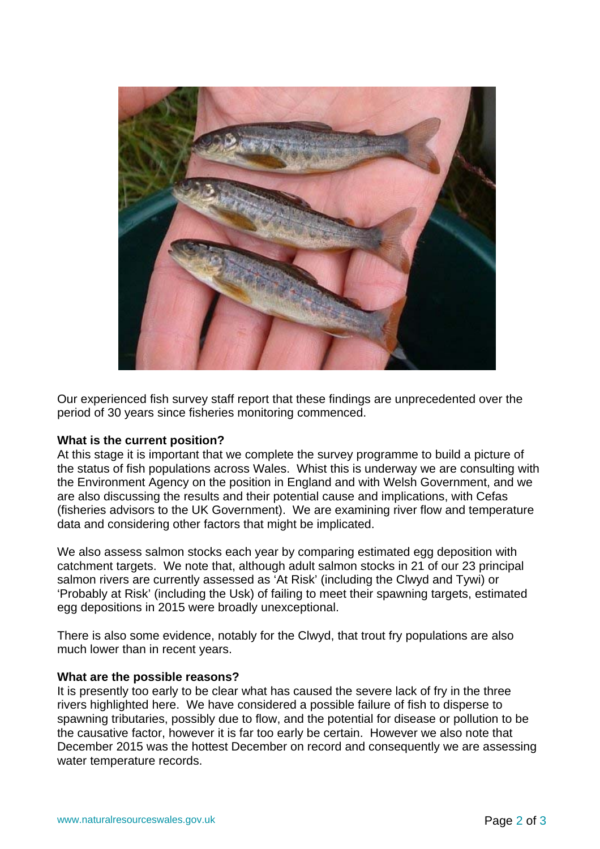

Our experienced fish survey staff report that these findings are unprecedented over the period of 30 years since fisheries monitoring commenced.

#### **What is the current position?**

At this stage it is important that we complete the survey programme to build a picture of the status of fish populations across Wales. Whist this is underway we are consulting with the Environment Agency on the position in England and with Welsh Government, and we are also discussing the results and their potential cause and implications, with Cefas (fisheries advisors to the UK Government). We are examining river flow and temperature data and considering other factors that might be implicated.

We also assess salmon stocks each year by comparing estimated egg deposition with catchment targets. We note that, although adult salmon stocks in 21 of our 23 principal salmon rivers are currently assessed as 'At Risk' (including the Clwyd and Tywi) or 'Probably at Risk' (including the Usk) of failing to meet their spawning targets, estimated egg depositions in 2015 were broadly unexceptional.

There is also some evidence, notably for the Clwyd, that trout fry populations are also much lower than in recent years.

#### **What are the possible reasons?**

It is presently too early to be clear what has caused the severe lack of fry in the three rivers highlighted here. We have considered a possible failure of fish to disperse to spawning tributaries, possibly due to flow, and the potential for disease or pollution to be the causative factor, however it is far too early be certain. However we also note that December 2015 was the hottest December on record and consequently we are assessing water temperature records.